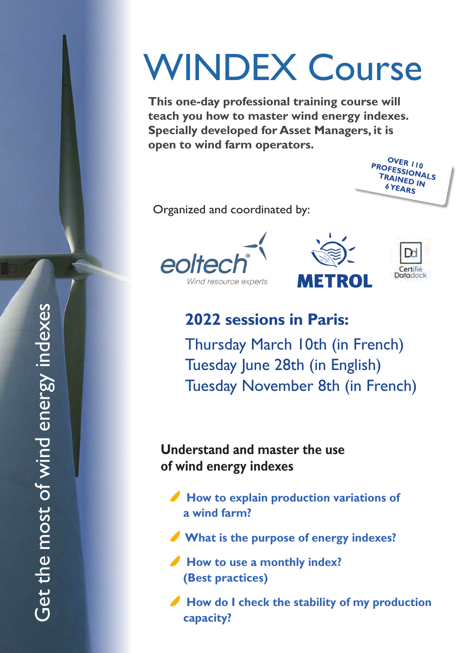# WINDEX Course

**This one-day professional training course will teach you how to master wind energy indexes. Specially developed for Asset Managers, it is open to wind farm operators.** 



Organized and coordinated by:







**2022 sessions in Paris:**

Thursday March 10th (in French) Tuesday June 28th (in English) Tuesday November 8th (in French)

**Understand and master the use of wind energy indexes**

How to explain production variations of **a wind farm?**

- **What is the purpose of energy indexes?**
- *I* How to use a monthly index? **(Best practices)**

**∕ How do I check the stability of my production capacity?**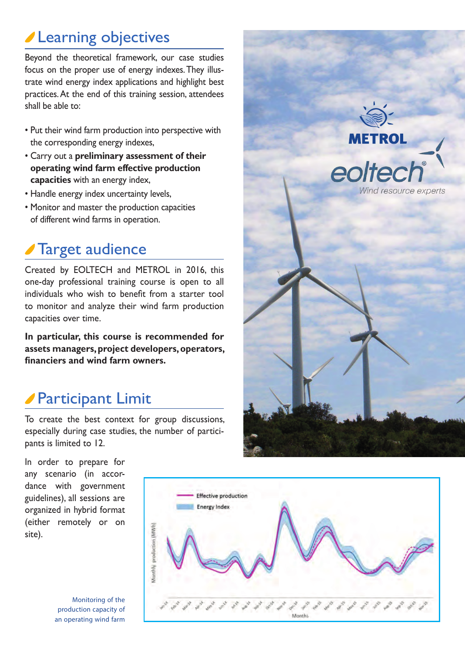# **Learning objectives**

Beyond the theoretical framework, our case studies focus on the proper use of energy indexes. They illustrate wind energy index applications and highlight best practices. At the end of this training session, attendees shall be able to:

- Put their wind farm production into perspective with the corresponding energy indexes,
- Carry out a **preliminary assessment of their operating wind farm effective production capacities** with an energy index,
- Handle energy index uncertainty levels,
- Monitor and master the production capacities of different wind farms in operation.

# Target audience

Created by EOLTECH and METROL in 2016, this one-day professional training course is open to all individuals who wish to benefit from a starter tool to monitor and analyze their wind farm production capacities over time.

**In particular, this course is recommended for assets managers, project developers, operators, financiers and wind farm owners.**

# Participant Limit

To create the best context for group discussions, especially during case studies, the number of participants is limited to 12.

In order to prepare for any scenario (in accordance with government guidelines), all sessions are organized in hybrid format (either remotely or on site).

Monitoring of the production capacity of an operating wind farm



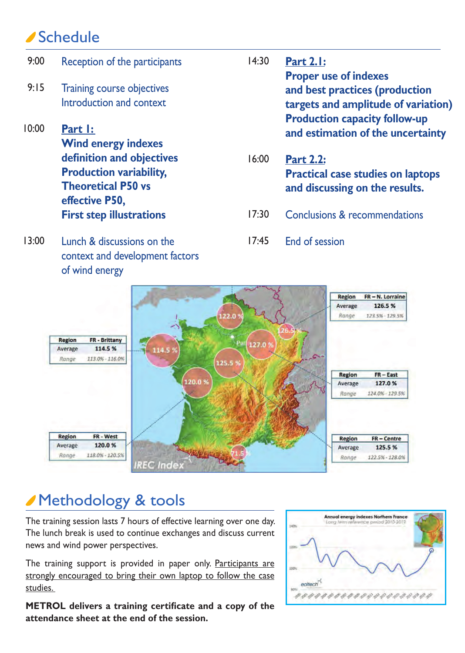### Schedule

- Reception of the participants Training course objectives Introduction and context **Part 1: Wind energy indexes definition and objectives Production variability, Theoretical P50 vs effective P50, First step illustrations** 9:00 9:15 10:00 **Part 2.1: Proper use of indexes and best practices (production targets and amplitude of variation) Production capacity follow-up and estimation of the uncertainty Part 2.2: Practical case studies on laptops and discussing on the results.** Conclusions & recommendations 14:30 16:00 17:30
- Lunch & discussions on the context and development factors of wind energy 13:00
- End of session 17:45



### Methodology & tools

The training session lasts 7 hours of effective learning over one day. The lunch break is used to continue exchanges and discuss current news and wind power perspectives.

The training support is provided in paper only. Participants are strongly encouraged to bring their own laptop to follow the case studies.

**METROL delivers a training certificate and a copy of the attendance sheet at the end of the session.**